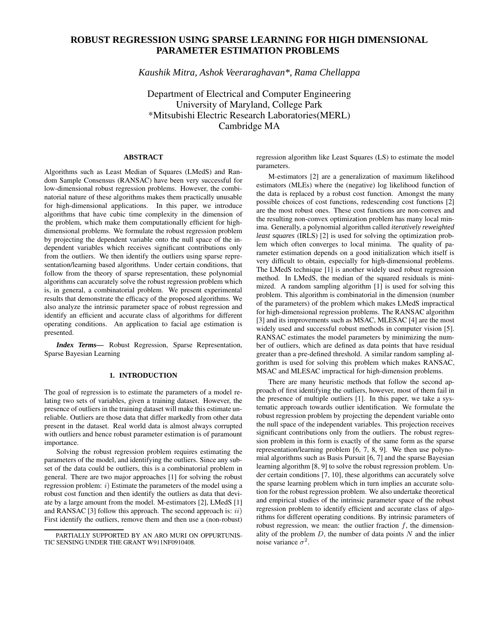# **ROBUST REGRESSION USING SPARSE LEARNING FOR HIGH DIMENSIONAL PARAMETER ESTIMATION PROBLEMS**

*Kaushik Mitra, Ashok Veeraraghavan\*, Rama Chellappa*

Department of Electrical and Computer Engineering University of Maryland, College Park \*Mitsubishi Electric Research Laboratories(MERL) Cambridge MA

## **ABSTRACT**

Algorithms such as Least Median of Squares (LMedS) and Random Sample Consensus (RANSAC) have been very successful for low-dimensional robust regression problems. However, the combinatorial nature of these algorithms makes them practically unusable for high-dimensional applications. In this paper, we introduce algorithms that have cubic time complexity in the dimension of the problem, which make them computationally efficient for highdimensional problems. We formulate the robust regression problem by projecting the dependent variable onto the null space of the independent variables which receives significant contributions only from the outliers. We then identify the outliers using sparse representation/learning based algorithms. Under certain conditions, that follow from the theory of sparse representation, these polynomial algorithms can accurately solve the robust regression problem which is, in general, a combinatorial problem. We present experimental results that demonstrate the efficacy of the proposed algorithms. We also analyze the intrinsic parameter space of robust regression and identify an efficient and accurate class of algorithms for different operating conditions. An application to facial age estimation is presented.

*Index Terms***—** Robust Regression, Sparse Representation, Sparse Bayesian Learning

## **1. INTRODUCTION**

The goal of regression is to estimate the parameters of a model relating two sets of variables, given a training dataset. However, the presence of outliers in the training dataset will make this estimate unreliable. Outliers are those data that differ markedly from other data present in the dataset. Real world data is almost always corrupted with outliers and hence robust parameter estimation is of paramount importance.

Solving the robust regression problem requires estimating the parameters of the model, and identifying the outliers. Since any subset of the data could be outliers, this is a combinatorial problem in general. There are two major approaches [1] for solving the robust regression problem:  $i$ ) Estimate the parameters of the model using a robust cost function and then identify the outliers as data that deviate by a large amount from the model. M-estimators [2], LMedS [1] and RANSAC [3] follow this approach. The second approach is:  $ii)$ First identify the outliers, remove them and then use a (non-robust)

regression algorithm like Least Squares (LS) to estimate the model parameters.

M-estimators [2] are a generalization of maximum likelihood estimators (MLEs) where the (negative) log likelihood function of the data is replaced by a robust cost function. Amongst the many possible choices of cost functions, redescending cost functions [2] are the most robust ones. These cost functions are non-convex and the resulting non-convex optimization problem has many local minima. Generally, a polynomial algorithm called *iteratively reweighted least squares* (IRLS) [2] is used for solving the optimization problem which often converges to local minima. The quality of parameter estimation depends on a good initialization which itself is very difficult to obtain, especially for high-dimensional problems. The LMedS technique [1] is another widely used robust regression method. In LMedS, the median of the squared residuals is minimized. A random sampling algorithm [1] is used for solving this problem. This algorithm is combinatorial in the dimension (number of the parameters) of the problem which makes LMedS impractical for high-dimensional regression problems. The RANSAC algorithm [3] and its improvements such as MSAC, MLESAC [4] are the most widely used and successful robust methods in computer vision [5]. RANSAC estimates the model parameters by minimizing the number of outliers, which are defined as data points that have residual greater than a pre-defined threshold. A similar random sampling algorithm is used for solving this problem which makes RANSAC, MSAC and MLESAC impractical for high-dimension problems.

There are many heuristic methods that follow the second approach of first identifying the outliers, however, most of them fail in the presence of multiple outliers [1]. In this paper, we take a systematic approach towards outlier identification. We formulate the robust regression problem by projecting the dependent variable onto the null space of the independent variables. This projection receives significant contributions only from the outliers. The robust regression problem in this form is exactly of the same form as the sparse representation/learning problem [6, 7, 8, 9]. We then use polynomial algorithms such as Basis Pursuit [6, 7] and the sparse Bayesian learning algorithm [8, 9] to solve the robust regression problem. Under certain conditions [7, 10], these algorithms can accurately solve the sparse learning problem which in turn implies an accurate solution for the robust regression problem. We also undertake theoretical and empirical studies of the intrinsic parameter space of the robust regression problem to identify efficient and accurate class of algorithms for different operating conditions. By intrinsic parameters of robust regression, we mean: the outlier fraction  $f$ , the dimensionality of the problem  $D$ , the number of data points  $N$  and the inlier noise variance  $\sigma^2$ .

PARTIALLY SUPPORTED BY AN ARO MURI ON OPPURTUNIS-TIC SENSING UNDER THE GRANT W911NF0910408.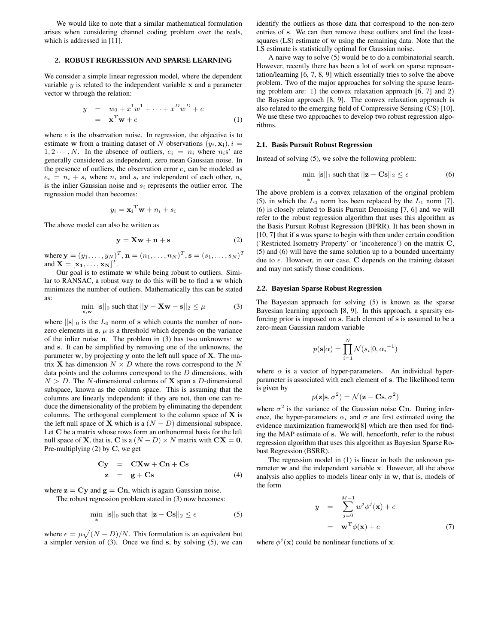We would like to note that a similar mathematical formulation arises when considering channel coding problem over the reals, which is addressed in [11].

#### **2. ROBUST REGRESSION AND SPARSE LEARNING**

We consider a simple linear regression model, where the dependent variable  $y$  is related to the independent variable  $x$  and a parameter vector w through the relation:

$$
y = w_0 + x^1 w^1 + \dots + x^D w^D + e
$$
  
=  $\mathbf{x}^T \mathbf{w} + e$  (1)

where *e* is the observation noise. In regression, the objective is to estimate w from a training dataset of N observations  $(y_i, \mathbf{x_i})$ ,  $i =$  $1, 2 \cdots, N$ . In the absence of outliers,  $e_i = n_i$  where  $n_i$ s' are generally considered as independent, zero mean Gaussian noise. In the presence of outliers, the observation error  $e_i$  can be modeled as  $e_i = n_i + s_i$  where  $n_i$  and  $s_i$  are independent of each other,  $n_i$ is the inlier Gaussian noise and  $s_i$  represents the outlier error. The regression model then becomes:

$$
y_i = \mathbf{x_i}^{\mathbf{T}} \mathbf{w} + n_i + s_i
$$

The above model can also be written as

$$
y = Xw + n + s \tag{2}
$$

where  $\mathbf{y}=(y_1,\ldots,y_N)^T, \mathbf{n}=(n_1,\ldots,n_N)^T, \mathbf{s}=(s_1,\ldots,s_N)^T$ and  $\mathbf{X} = [\mathbf{x}_1, \dots, \mathbf{x}_N]^T$ .

Our goal is to estimate w while being robust to outliers. Similar to RANSAC, a robust way to do this will be to find a w which minimizes the number of outliers. Mathematically this can be stated as:

$$
\min_{\mathbf{s},\mathbf{w}} ||\mathbf{s}||_0 \text{ such that } ||\mathbf{y} - \mathbf{X}\mathbf{w} - \mathbf{s}||_2 \le \mu \tag{3}
$$

where  $||\mathbf{s}||_0$  is the  $L_0$  norm of s which counts the number of nonzero elements in s,  $\mu$  is a threshold which depends on the variance of the inlier noise n. The problem in (3) has two unknowns: w and s. It can be simplified by removing one of the unknowns, the parameter w, by projecting y onto the left null space of X. The matrix **X** has dimension  $N \times D$  where the rows correspond to the N data points and the columns correspond to the  $D$  dimensions, with  $N > D$ . The N-dimensional columns of **X** span a D-dimensional subspace, known as the column space. This is assuming that the columns are linearly independent; if they are not, then one can reduce the dimensionality of the problem by eliminating the dependent columns. The orthogonal complement to the column space of  $X$  is the left null space of **X** which is a  $(N - D)$  dimensional subspace. Let C be a matrix whose rows form an orthonormal basis for the left null space of **X**, that is, **C** is a  $(N - D) \times N$  matrix with  $CX = 0$ . Pre-multiplying  $(2)$  by C, we get

$$
Cy = CXw + Cn + Cs
$$
  
\n
$$
z = g + Cs
$$
 (4)

where  $z = Cy$  and  $g = Cn$ , which is again Gaussian noise. The robust regression problem stated in  $(3)$  now becomes

The robust regression problem stated in 
$$
(3)
$$
 now becomes:

$$
\min_{\mathbf{s}} ||\mathbf{s}||_0 \text{ such that } ||\mathbf{z} - \mathbf{C}\mathbf{s}||_2 \le \epsilon \tag{5}
$$

where  $\epsilon = \mu \sqrt{(N - D)/N}$ . This formulation is an equivalent but a simpler version of (3). Once we find s, by solving (5), we can identify the outliers as those data that correspond to the non-zero entries of s. We can then remove these outliers and find the leastsquares (LS) estimate of w using the remaining data. Note that the LS estimate is statistically optimal for Gaussian noise.

A naive way to solve (5) would be to do a combinatorial search. However, recently there has been a lot of work on sparse representation/learning [6, 7, 8, 9] which essentially tries to solve the above problem. Two of the major approaches for solving the sparse learning problem are: 1) the convex relaxation approach [6, 7] and 2) the Bayesian approach [8, 9]. The convex relaxation approach is also related to the emerging field of Compressive Sensing (CS) [10]. We use these two approaches to develop two robust regression algorithms.

#### **2.1. Basis Pursuit Robust Regression**

Instead of solving (5), we solve the following problem:

$$
\min_{\mathbf{s}} ||\mathbf{s}||_1 \text{ such that } ||\mathbf{z} - \mathbf{C}\mathbf{s}||_2 \le \epsilon \tag{6}
$$

The above problem is a convex relaxation of the original problem (5), in which the  $L_0$  norm has been replaced by the  $L_1$  norm [7]. (6) is closely related to Basis Pursuit Denoising [7, 6] and we will refer to the robust regression algorithm that uses this algorithm as the Basis Pursuit Robust Regression (BPRR). It has been shown in [10, 7] that if s was sparse to begin with then under certain condition ('Restricted Isometry Property' or 'incoherence') on the matrix C, (5) and (6) will have the same solution up to a bounded uncertainty due to  $\epsilon$ . However, in our case, C depends on the training dataset and may not satisfy those conditions.

#### **2.2. Bayesian Sparse Robust Regression**

The Bayesian approach for solving (5) is known as the sparse Bayesian learning approach [8, 9]. In this approach, a sparsity enforcing prior is imposed on s. Each element of s is assumed to be a zero-mean Gaussian random variable

$$
p(\mathbf{s}|\alpha) = \prod_{i=1}^{N} \mathcal{N}(s_i|0, {\alpha_i}^{-1})
$$

where  $\alpha$  is a vector of hyper-parameters. An individual hyperparameter is associated with each element of s. The likelihood term is given by

$$
p(\mathbf{z}|\mathbf{s}, \sigma^2) = \mathcal{N}(\mathbf{z} - \mathbf{C}\mathbf{s}, \sigma^2)
$$

where  $\sigma^2$  is the variance of the Gaussian noise Cn. During inference, the hyper-parameters  $\alpha_i$  and  $\sigma$  are first estimated using the evidence maximization framework[8] which are then used for finding the MAP estimate of s. We will, henceforth, refer to the robust regression algorithm that uses this algorithm as Bayesian Sparse Robust Regression (BSRR).

The regression model in (1) is linear in both the unknown parameter w and the independent variable x. However, all the above analysis also applies to models linear only in w, that is, models of the form

$$
y = \sum_{j=0}^{M-1} w^j \phi^j(\mathbf{x}) + e
$$
  
=  $\mathbf{w}^T \phi(\mathbf{x}) + e$  (7)

where  $\phi^j(\mathbf{x})$  could be nonlinear functions of **x**.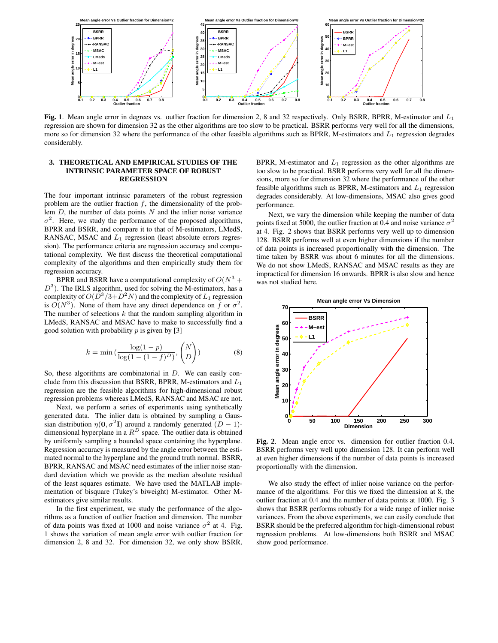

**Fig. 1**. Mean angle error in degrees vs. outlier fraction for dimension 2, 8 and 32 respectively. Only BSRR, BPRR, M-estimator and  $L_1$ regression are shown for dimension 32 as the other algorithms are too slow to be practical. BSRR performs very well for all the dimensions, more so for dimension 32 where the performance of the other feasible algorithms such as BPRR, M-estimators and  $L_1$  regression degrades considerably.

## **3. THEORETICAL AND EMPIRICAL STUDIES OF THE INTRINSIC PARAMETER SPACE OF ROBUST REGRESSION**

The four important intrinsic parameters of the robust regression problem are the outlier fraction  $f$ , the dimensionality of the problem  $D$ , the number of data points  $N$  and the inlier noise variance  $\sigma^2$ . Here, we study the performance of the proposed algorithms, BPRR and BSRR, and compare it to that of M-estimators, LMedS, RANSAC, MSAC and  $L_1$  regression (least absolute errors regression). The performance criteria are regression accuracy and computational complexity. We first discuss the theoretical computational complexity of the algorithms and then empirically study them for regression accuracy.

BPRR and BSRR have a computational complexity of  $O(N^3 +$  $D^3$ ). The IRLS algorithm, used for solving the M-estimators, has a complexity of  $O(D^3/3+D^2N)$  and the complexity of  $L_1$  regression is  $O(N^3)$ . None of them have any direct dependence on f or  $\sigma^2$ . The number of selections  $k$  that the random sampling algorithm in LMedS, RANSAC and MSAC have to make to successfully find a good solution with probability  $p$  is given by [3]

$$
k = \min\left(\frac{\log(1-p)}{\log(1-(1-f)^D)}, \binom{N}{D}\right) \tag{8}
$$

So, these algorithms are combinatorial in D. We can easily conclude from this discussion that BSRR, BPRR, M-estimators and  $L_1$ regression are the feasible algorithms for high-dimensional robust regression problems whereas LMedS, RANSAC and MSAC are not.

Next, we perform a series of experiments using synthetically generated data. The inlier data is obtained by sampling a Gaussian distribution  $\eta(\mathbf{0}, \sigma^2 \mathbf{I})$  around a randomly generated  $(D-1)$ dimensional hyperplane in a  $R^D$  space. The outlier data is obtained by uniformly sampling a bounded space containing the hyperplane. Regression accuracy is measured by the angle error between the estimated normal to the hyperplane and the ground truth normal. BSRR, BPRR, RANSAC and MSAC need estimates of the inlier noise standard deviation which we provide as the median absolute residual of the least squares estimate. We have used the MATLAB implementation of bisquare (Tukey's biweight) M-estimator. Other Mestimators give similar results.

In the first experiment, we study the performance of the algorithms as a function of outlier fraction and dimension. The number of data points was fixed at 1000 and noise variance  $\sigma^2$  at 4. Fig. 1 shows the variation of mean angle error with outlier fraction for dimension 2, 8 and 32. For dimension 32, we only show BSRR,

BPRR, M-estimator and  $L_1$  regression as the other algorithms are too slow to be practical. BSRR performs very well for all the dimensions, more so for dimension 32 where the performance of the other feasible algorithms such as BPRR, M-estimators and  $L_1$  regression degrades considerably. At low-dimensions, MSAC also gives good performance.

Next, we vary the dimension while keeping the number of data points fixed at 5000, the outlier fraction at 0.4 and noise variance  $\sigma^2$ at 4. Fig. 2 shows that BSRR performs very well up to dimension 128. BSRR performs well at even higher dimensions if the number of data points is increased proportionally with the dimension. The time taken by BSRR was about 6 minutes for all the dimensions. We do not show LMedS, RANSAC and MSAC results as they are impractical for dimension 16 onwards. BPRR is also slow and hence was not studied here.



**Fig. 2**. Mean angle error vs. dimension for outlier fraction 0.4. BSRR performs very well upto dimension 128. It can perform well at even higher dimensions if the number of data points is increased proportionally with the dimension.

We also study the effect of inlier noise variance on the performance of the algorithms. For this we fixed the dimension at 8, the outlier fraction at 0.4 and the number of data points at 1000. Fig. 3 shows that BSRR performs robustly for a wide range of inlier noise variances. From the above experiments, we can easily conclude that BSRR should be the preferred algorithm for high-dimensional robust regression problems. At low-dimensions both BSRR and MSAC show good performance.